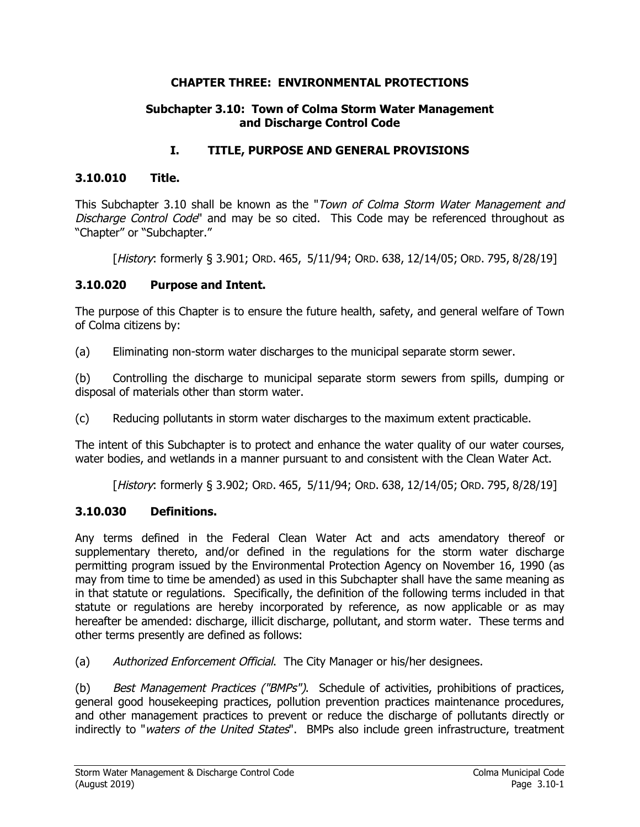#### **CHAPTER THREE: ENVIRONMENTAL PROTECTIONS**

#### **Subchapter 3.10: Town of Colma Storm Water Management and Discharge Control Code**

### **I. TITLE, PURPOSE AND GENERAL PROVISIONS**

### **3.10.010 Title.**

This Subchapter 3.10 shall be known as the "Town of Colma Storm Water Management and Discharge Control Code" and may be so cited. This Code may be referenced throughout as "Chapter" or "Subchapter."

[History: formerly § 3.901; ORD. 465, 5/11/94; ORD. 638, 12/14/05; ORD. 795, 8/28/19]

#### **3.10.020 Purpose and Intent.**

The purpose of this Chapter is to ensure the future health, safety, and general welfare of Town of Colma citizens by:

(a) Eliminating non-storm water discharges to the municipal separate storm sewer.

(b) Controlling the discharge to municipal separate storm sewers from spills, dumping or disposal of materials other than storm water.

(c) Reducing pollutants in storm water discharges to the maximum extent practicable.

The intent of this Subchapter is to protect and enhance the water quality of our water courses, water bodies, and wetlands in a manner pursuant to and consistent with the Clean Water Act.

[History: formerly § 3.902; ORD. 465, 5/11/94; ORD. 638, 12/14/05; ORD. 795, 8/28/19]

### **3.10.030 Definitions.**

Any terms defined in the Federal Clean Water Act and acts amendatory thereof or supplementary thereto, and/or defined in the regulations for the storm water discharge permitting program issued by the Environmental Protection Agency on November 16, 1990 (as may from time to time be amended) as used in this Subchapter shall have the same meaning as in that statute or regulations. Specifically, the definition of the following terms included in that statute or regulations are hereby incorporated by reference, as now applicable or as may hereafter be amended: discharge, illicit discharge, pollutant, and storm water. These terms and other terms presently are defined as follows:

(a) Authorized Enforcement Official. The City Manager or his/her designees.

(b) Best Management Practices ("BMPs"). Schedule of activities, prohibitions of practices, general good housekeeping practices, pollution prevention practices maintenance procedures, and other management practices to prevent or reduce the discharge of pollutants directly or indirectly to "waters of the United States". BMPs also include green infrastructure, treatment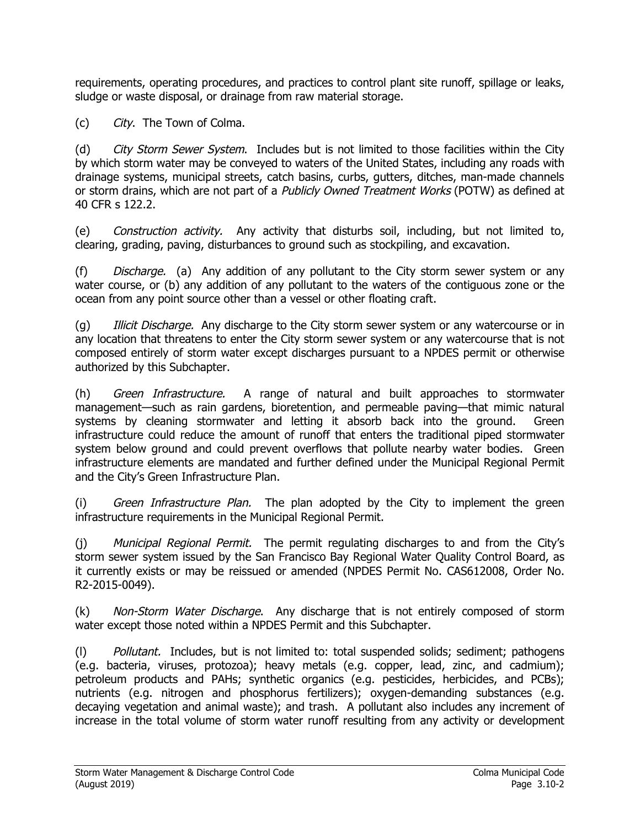requirements, operating procedures, and practices to control plant site runoff, spillage or leaks, sludge or waste disposal, or drainage from raw material storage.

(c) City. The Town of Colma.

(d) City Storm Sewer System. Includes but is not limited to those facilities within the City by which storm water may be conveyed to waters of the United States, including any roads with drainage systems, municipal streets, catch basins, curbs, gutters, ditches, man-made channels or storm drains, which are not part of a Publicly Owned Treatment Works (POTW) as defined at 40 CFR s 122.2.

(e) Construction activity. Any activity that disturbs soil, including, but not limited to, clearing, grading, paving, disturbances to ground such as stockpiling, and excavation.

(f) Discharge. (a) Any addition of any pollutant to the City storm sewer system or any water course, or (b) any addition of any pollutant to the waters of the contiguous zone or the ocean from any point source other than a vessel or other floating craft.

(g) *Illicit Discharge.* Any discharge to the City storm sewer system or any watercourse or in any location that threatens to enter the City storm sewer system or any watercourse that is not composed entirely of storm water except discharges pursuant to a NPDES permit or otherwise authorized by this Subchapter.

(h) Green Infrastructure. A range of natural and built approaches to stormwater management—such as rain gardens, bioretention, and permeable paving—that mimic natural systems by cleaning stormwater and letting it absorb back into the ground. Green infrastructure could reduce the amount of runoff that enters the traditional piped stormwater system below ground and could prevent overflows that pollute nearby water bodies. Green infrastructure elements are mandated and further defined under the Municipal Regional Permit and the City's Green Infrastructure Plan.

(i) Green Infrastructure Plan. The plan adopted by the City to implement the green infrastructure requirements in the Municipal Regional Permit.

(j) Municipal Regional Permit. The permit regulating discharges to and from the City's storm sewer system issued by the San Francisco Bay Regional Water Quality Control Board, as it currently exists or may be reissued or amended (NPDES Permit No. CAS612008, Order No. R2-2015-0049).

(k) Non-Storm Water Discharge. Any discharge that is not entirely composed of storm water except those noted within a NPDES Permit and this Subchapter.

(l) Pollutant. Includes, but is not limited to: total suspended solids; sediment; pathogens (e.g. bacteria, viruses, protozoa); heavy metals (e.g. copper, lead, zinc, and cadmium); petroleum products and PAHs; synthetic organics (e.g. pesticides, herbicides, and PCBs); nutrients (e.g. nitrogen and phosphorus fertilizers); oxygen-demanding substances (e.g. decaying vegetation and animal waste); and trash. A pollutant also includes any increment of increase in the total volume of storm water runoff resulting from any activity or development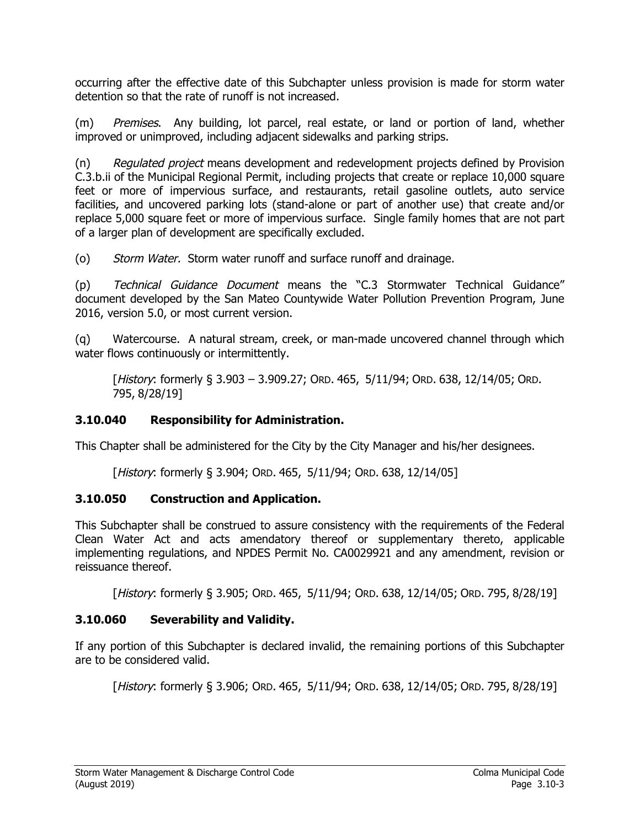occurring after the effective date of this Subchapter unless provision is made for storm water detention so that the rate of runoff is not increased.

(m) Premises. Any building, lot parcel, real estate, or land or portion of land, whether improved or unimproved, including adjacent sidewalks and parking strips.

(n) Regulated project means development and redevelopment projects defined by Provision C.3.b.ii of the Municipal Regional Permit, including projects that create or replace 10,000 square feet or more of impervious surface, and restaurants, retail gasoline outlets, auto service facilities, and uncovered parking lots (stand-alone or part of another use) that create and/or replace 5,000 square feet or more of impervious surface. Single family homes that are not part of a larger plan of development are specifically excluded.

(o) Storm Water. Storm water runoff and surface runoff and drainage.

(p) Technical Guidance Document means the "C.3 Stormwater Technical Guidance" document developed by the San Mateo Countywide Water Pollution Prevention Program, June 2016, version 5.0, or most current version.

(q) Watercourse. A natural stream, creek, or man-made uncovered channel through which water flows continuously or intermittently.

[History: formerly § 3.903 – 3.909.27; ORD. 465, 5/11/94; ORD. 638, 12/14/05; ORD. 795, 8/28/19]

## **3.10.040 Responsibility for Administration.**

This Chapter shall be administered for the City by the City Manager and his/her designees.

[History: formerly § 3.904; ORD. 465, 5/11/94; ORD. 638, 12/14/05]

## **3.10.050 Construction and Application.**

This Subchapter shall be construed to assure consistency with the requirements of the Federal Clean Water Act and acts amendatory thereof or supplementary thereto, applicable implementing regulations, and NPDES Permit No. CA0029921 and any amendment, revision or reissuance thereof.

[History: formerly § 3.905; ORD. 465, 5/11/94; ORD. 638, 12/14/05; ORD. 795, 8/28/19]

## **3.10.060 Severability and Validity.**

If any portion of this Subchapter is declared invalid, the remaining portions of this Subchapter are to be considered valid.

[History: formerly § 3.906; ORD. 465, 5/11/94; ORD. 638, 12/14/05; ORD. 795, 8/28/19]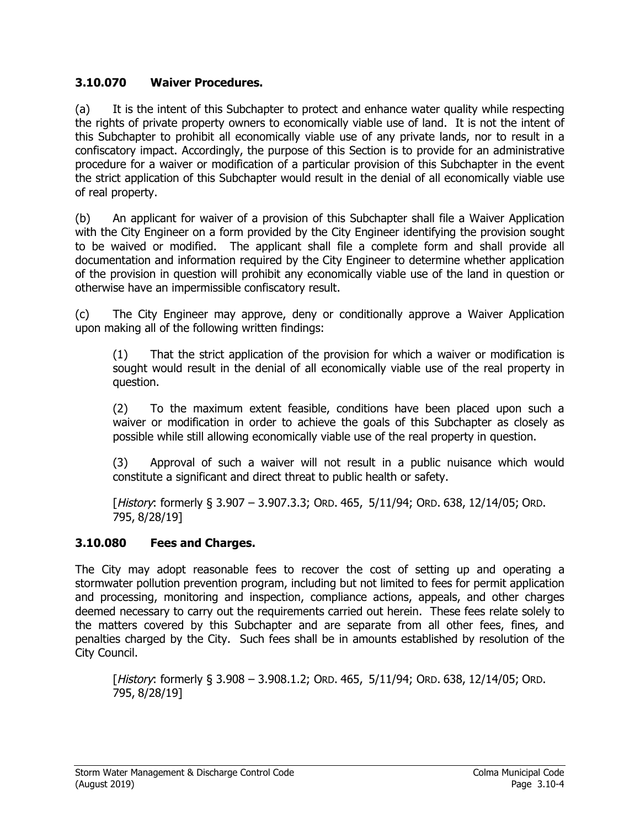### **3.10.070 Waiver Procedures.**

(a) It is the intent of this Subchapter to protect and enhance water quality while respecting the rights of private property owners to economically viable use of land. It is not the intent of this Subchapter to prohibit all economically viable use of any private lands, nor to result in a confiscatory impact. Accordingly, the purpose of this Section is to provide for an administrative procedure for a waiver or modification of a particular provision of this Subchapter in the event the strict application of this Subchapter would result in the denial of all economically viable use of real property.

(b) An applicant for waiver of a provision of this Subchapter shall file a Waiver Application with the City Engineer on a form provided by the City Engineer identifying the provision sought to be waived or modified. The applicant shall file a complete form and shall provide all documentation and information required by the City Engineer to determine whether application of the provision in question will prohibit any economically viable use of the land in question or otherwise have an impermissible confiscatory result.

(c) The City Engineer may approve, deny or conditionally approve a Waiver Application upon making all of the following written findings:

(1) That the strict application of the provision for which a waiver or modification is sought would result in the denial of all economically viable use of the real property in question.

(2) To the maximum extent feasible, conditions have been placed upon such a waiver or modification in order to achieve the goals of this Subchapter as closely as possible while still allowing economically viable use of the real property in question.

(3) Approval of such a waiver will not result in a public nuisance which would constitute a significant and direct threat to public health or safety.

[History: formerly § 3.907 – 3.907.3.3; ORD. 465, 5/11/94; ORD. 638, 12/14/05; ORD. 795, 8/28/19]

## **3.10.080 Fees and Charges.**

The City may adopt reasonable fees to recover the cost of setting up and operating a stormwater pollution prevention program, including but not limited to fees for permit application and processing, monitoring and inspection, compliance actions, appeals, and other charges deemed necessary to carry out the requirements carried out herein. These fees relate solely to the matters covered by this Subchapter and are separate from all other fees, fines, and penalties charged by the City. Such fees shall be in amounts established by resolution of the City Council.

[History: formerly § 3.908 – 3.908.1.2; ORD. 465, 5/11/94; ORD. 638, 12/14/05; ORD. 795, 8/28/19]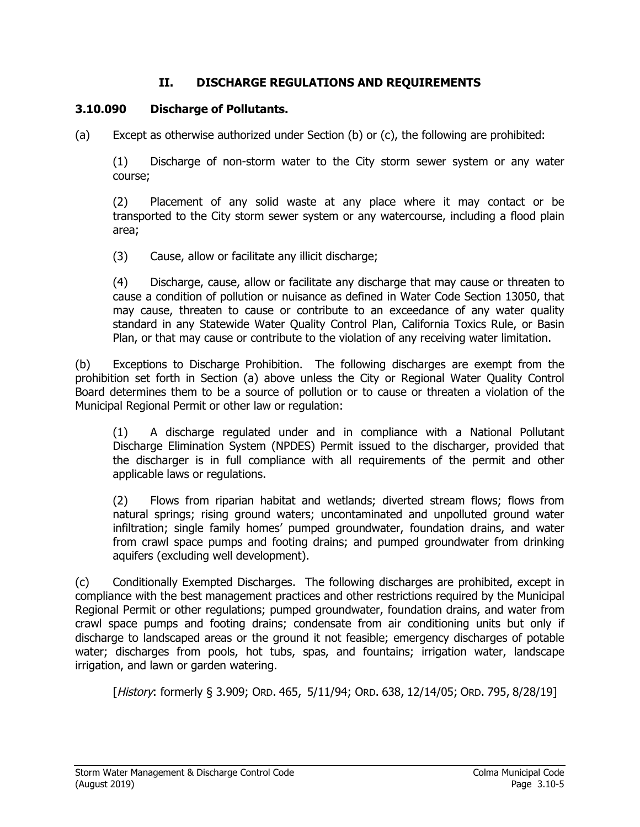### **II. DISCHARGE REGULATIONS AND REQUIREMENTS**

### **3.10.090 Discharge of Pollutants.**

(a) Except as otherwise authorized under Section (b) or (c), the following are prohibited:

(1) Discharge of non-storm water to the City storm sewer system or any water course;

(2) Placement of any solid waste at any place where it may contact or be transported to the City storm sewer system or any watercourse, including a flood plain area;

(3) Cause, allow or facilitate any illicit discharge;

(4) Discharge, cause, allow or facilitate any discharge that may cause or threaten to cause a condition of pollution or nuisance as defined in Water Code Section 13050, that may cause, threaten to cause or contribute to an exceedance of any water quality standard in any Statewide Water Quality Control Plan, California Toxics Rule, or Basin Plan, or that may cause or contribute to the violation of any receiving water limitation.

(b) Exceptions to Discharge Prohibition. The following discharges are exempt from the prohibition set forth in Section (a) above unless the City or Regional Water Quality Control Board determines them to be a source of pollution or to cause or threaten a violation of the Municipal Regional Permit or other law or regulation:

(1) A discharge regulated under and in compliance with a National Pollutant Discharge Elimination System (NPDES) Permit issued to the discharger, provided that the discharger is in full compliance with all requirements of the permit and other applicable laws or regulations.

(2) Flows from riparian habitat and wetlands; diverted stream flows; flows from natural springs; rising ground waters; uncontaminated and unpolluted ground water infiltration; single family homes' pumped groundwater, foundation drains, and water from crawl space pumps and footing drains; and pumped groundwater from drinking aquifers (excluding well development).

(c) Conditionally Exempted Discharges. The following discharges are prohibited, except in compliance with the best management practices and other restrictions required by the Municipal Regional Permit or other regulations; pumped groundwater, foundation drains, and water from crawl space pumps and footing drains; condensate from air conditioning units but only if discharge to landscaped areas or the ground it not feasible; emergency discharges of potable water; discharges from pools, hot tubs, spas, and fountains; irrigation water, landscape irrigation, and lawn or garden watering.

[History: formerly § 3.909; ORD. 465, 5/11/94; ORD. 638, 12/14/05; ORD. 795, 8/28/19]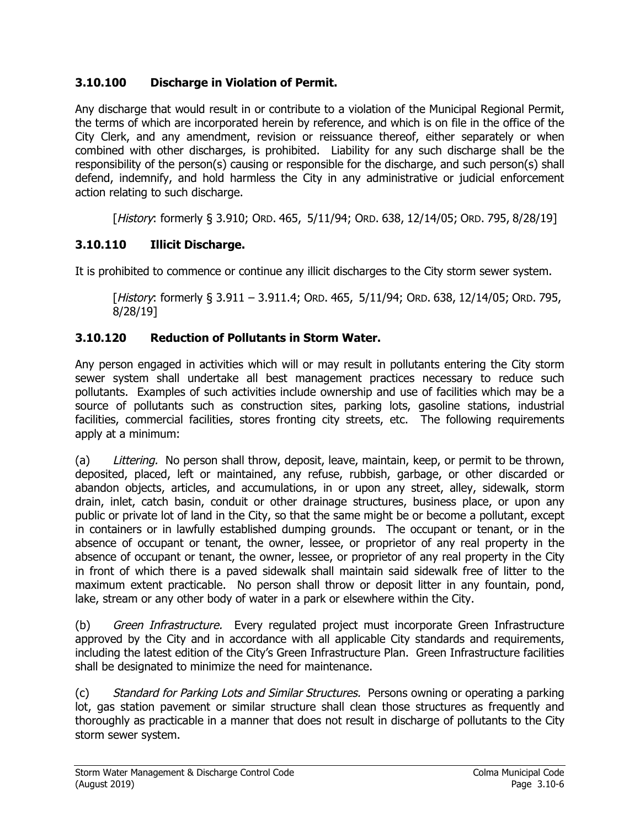## **3.10.100 Discharge in Violation of Permit.**

Any discharge that would result in or contribute to a violation of the Municipal Regional Permit, the terms of which are incorporated herein by reference, and which is on file in the office of the City Clerk, and any amendment, revision or reissuance thereof, either separately or when combined with other discharges, is prohibited. Liability for any such discharge shall be the responsibility of the person(s) causing or responsible for the discharge, and such person(s) shall defend, indemnify, and hold harmless the City in any administrative or judicial enforcement action relating to such discharge.

[History: formerly § 3.910; ORD. 465, 5/11/94; ORD. 638, 12/14/05; ORD. 795, 8/28/19]

### **3.10.110 Illicit Discharge.**

It is prohibited to commence or continue any illicit discharges to the City storm sewer system.

[History: formerly § 3.911 – 3.911.4; ORD. 465, 5/11/94; ORD. 638, 12/14/05; ORD. 795, 8/28/19]

### **3.10.120 Reduction of Pollutants in Storm Water.**

Any person engaged in activities which will or may result in pollutants entering the City storm sewer system shall undertake all best management practices necessary to reduce such pollutants. Examples of such activities include ownership and use of facilities which may be a source of pollutants such as construction sites, parking lots, gasoline stations, industrial facilities, commercial facilities, stores fronting city streets, etc. The following requirements apply at a minimum:

(a) Littering. No person shall throw, deposit, leave, maintain, keep, or permit to be thrown, deposited, placed, left or maintained, any refuse, rubbish, garbage, or other discarded or abandon objects, articles, and accumulations, in or upon any street, alley, sidewalk, storm drain, inlet, catch basin, conduit or other drainage structures, business place, or upon any public or private lot of land in the City, so that the same might be or become a pollutant, except in containers or in lawfully established dumping grounds. The occupant or tenant, or in the absence of occupant or tenant, the owner, lessee, or proprietor of any real property in the absence of occupant or tenant, the owner, lessee, or proprietor of any real property in the City in front of which there is a paved sidewalk shall maintain said sidewalk free of litter to the maximum extent practicable. No person shall throw or deposit litter in any fountain, pond, lake, stream or any other body of water in a park or elsewhere within the City.

(b) Green Infrastructure. Every regulated project must incorporate Green Infrastructure approved by the City and in accordance with all applicable City standards and requirements, including the latest edition of the City's Green Infrastructure Plan. Green Infrastructure facilities shall be designated to minimize the need for maintenance.

(c) Standard for Parking Lots and Similar Structures. Persons owning or operating a parking lot, gas station pavement or similar structure shall clean those structures as frequently and thoroughly as practicable in a manner that does not result in discharge of pollutants to the City storm sewer system.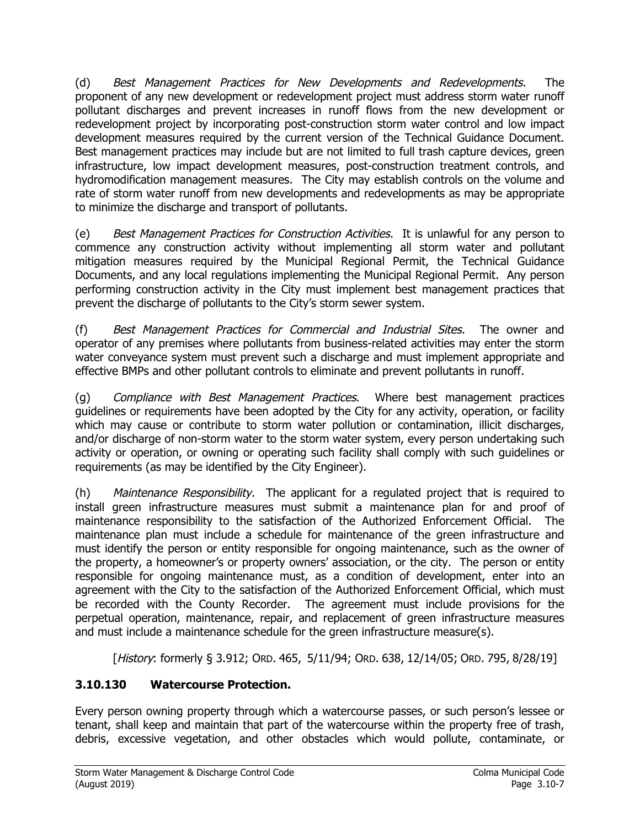(d) Best Management Practices for New Developments and Redevelopments. The proponent of any new development or redevelopment project must address storm water runoff pollutant discharges and prevent increases in runoff flows from the new development or redevelopment project by incorporating post-construction storm water control and low impact development measures required by the current version of the Technical Guidance Document. Best management practices may include but are not limited to full trash capture devices, green infrastructure, low impact development measures, post-construction treatment controls, and hydromodification management measures. The City may establish controls on the volume and rate of storm water runoff from new developments and redevelopments as may be appropriate to minimize the discharge and transport of pollutants.

(e) Best Management Practices for Construction Activities. It is unlawful for any person to commence any construction activity without implementing all storm water and pollutant mitigation measures required by the Municipal Regional Permit, the Technical Guidance Documents, and any local regulations implementing the Municipal Regional Permit. Any person performing construction activity in the City must implement best management practices that prevent the discharge of pollutants to the City's storm sewer system.

(f) Best Management Practices for Commercial and Industrial Sites. The owner and operator of any premises where pollutants from business-related activities may enter the storm water conveyance system must prevent such a discharge and must implement appropriate and effective BMPs and other pollutant controls to eliminate and prevent pollutants in runoff.

(g) Compliance with Best Management Practices. Where best management practices guidelines or requirements have been adopted by the City for any activity, operation, or facility which may cause or contribute to storm water pollution or contamination, illicit discharges, and/or discharge of non-storm water to the storm water system, every person undertaking such activity or operation, or owning or operating such facility shall comply with such guidelines or requirements (as may be identified by the City Engineer).

(h) Maintenance Responsibility. The applicant for a regulated project that is required to install green infrastructure measures must submit a maintenance plan for and proof of maintenance responsibility to the satisfaction of the Authorized Enforcement Official. The maintenance plan must include a schedule for maintenance of the green infrastructure and must identify the person or entity responsible for ongoing maintenance, such as the owner of the property, a homeowner's or property owners' association, or the city. The person or entity responsible for ongoing maintenance must, as a condition of development, enter into an agreement with the City to the satisfaction of the Authorized Enforcement Official, which must be recorded with the County Recorder. The agreement must include provisions for the perpetual operation, maintenance, repair, and replacement of green infrastructure measures and must include a maintenance schedule for the green infrastructure measure(s).

[History: formerly § 3.912; ORD. 465, 5/11/94; ORD. 638, 12/14/05; ORD. 795, 8/28/19]

# **3.10.130 Watercourse Protection.**

Every person owning property through which a watercourse passes, or such person's lessee or tenant, shall keep and maintain that part of the watercourse within the property free of trash, debris, excessive vegetation, and other obstacles which would pollute, contaminate, or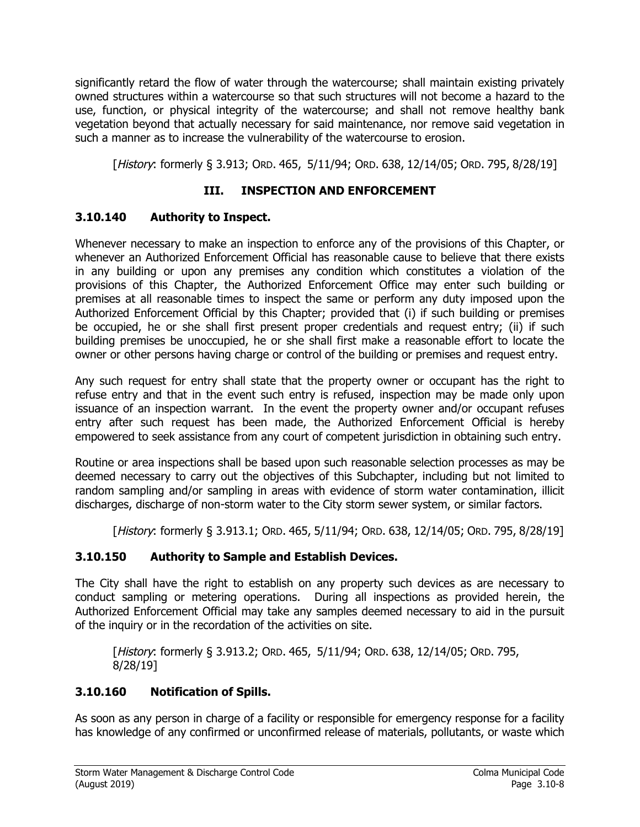significantly retard the flow of water through the watercourse; shall maintain existing privately owned structures within a watercourse so that such structures will not become a hazard to the use, function, or physical integrity of the watercourse; and shall not remove healthy bank vegetation beyond that actually necessary for said maintenance, nor remove said vegetation in such a manner as to increase the vulnerability of the watercourse to erosion.

[History: formerly § 3.913; ORD. 465, 5/11/94; ORD. 638, 12/14/05; ORD. 795, 8/28/19]

## **III. INSPECTION AND ENFORCEMENT**

## **3.10.140 Authority to Inspect.**

Whenever necessary to make an inspection to enforce any of the provisions of this Chapter, or whenever an Authorized Enforcement Official has reasonable cause to believe that there exists in any building or upon any premises any condition which constitutes a violation of the provisions of this Chapter, the Authorized Enforcement Office may enter such building or premises at all reasonable times to inspect the same or perform any duty imposed upon the Authorized Enforcement Official by this Chapter; provided that (i) if such building or premises be occupied, he or she shall first present proper credentials and request entry; (ii) if such building premises be unoccupied, he or she shall first make a reasonable effort to locate the owner or other persons having charge or control of the building or premises and request entry.

Any such request for entry shall state that the property owner or occupant has the right to refuse entry and that in the event such entry is refused, inspection may be made only upon issuance of an inspection warrant. In the event the property owner and/or occupant refuses entry after such request has been made, the Authorized Enforcement Official is hereby empowered to seek assistance from any court of competent jurisdiction in obtaining such entry.

Routine or area inspections shall be based upon such reasonable selection processes as may be deemed necessary to carry out the objectives of this Subchapter, including but not limited to random sampling and/or sampling in areas with evidence of storm water contamination, illicit discharges, discharge of non-storm water to the City storm sewer system, or similar factors.

[History: formerly § 3.913.1; ORD. 465, 5/11/94; ORD. 638, 12/14/05; ORD. 795, 8/28/19]

## **3.10.150 Authority to Sample and Establish Devices.**

The City shall have the right to establish on any property such devices as are necessary to conduct sampling or metering operations. During all inspections as provided herein, the Authorized Enforcement Official may take any samples deemed necessary to aid in the pursuit of the inquiry or in the recordation of the activities on site.

[History: formerly § 3.913.2; ORD. 465, 5/11/94; ORD. 638, 12/14/05; ORD. 795, 8/28/19]

## **3.10.160 Notification of Spills.**

As soon as any person in charge of a facility or responsible for emergency response for a facility has knowledge of any confirmed or unconfirmed release of materials, pollutants, or waste which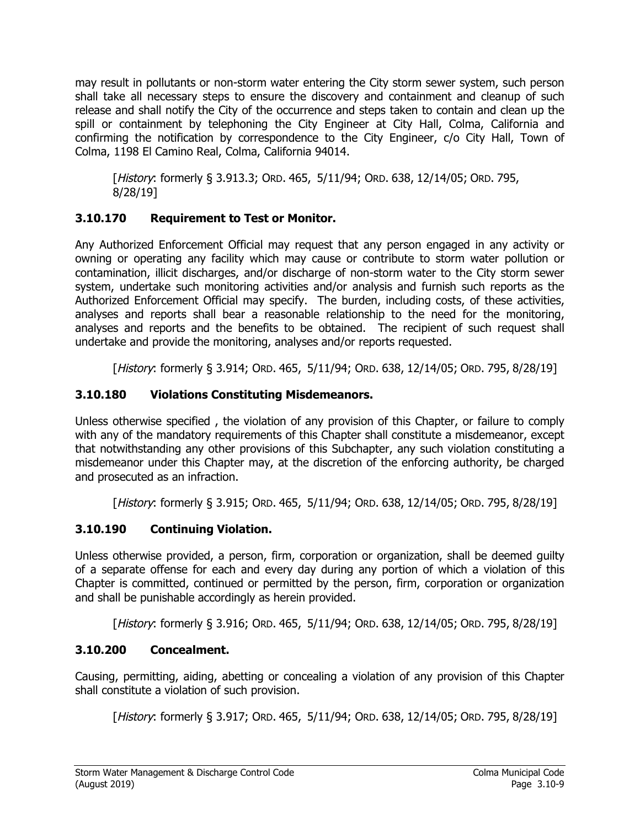may result in pollutants or non-storm water entering the City storm sewer system, such person shall take all necessary steps to ensure the discovery and containment and cleanup of such release and shall notify the City of the occurrence and steps taken to contain and clean up the spill or containment by telephoning the City Engineer at City Hall, Colma, California and confirming the notification by correspondence to the City Engineer, c/o City Hall, Town of Colma, 1198 El Camino Real, Colma, California 94014.

[History: formerly § 3.913.3; ORD. 465, 5/11/94; ORD. 638, 12/14/05; ORD. 795, 8/28/19]

## **3.10.170 Requirement to Test or Monitor.**

Any Authorized Enforcement Official may request that any person engaged in any activity or owning or operating any facility which may cause or contribute to storm water pollution or contamination, illicit discharges, and/or discharge of non-storm water to the City storm sewer system, undertake such monitoring activities and/or analysis and furnish such reports as the Authorized Enforcement Official may specify. The burden, including costs, of these activities, analyses and reports shall bear a reasonable relationship to the need for the monitoring, analyses and reports and the benefits to be obtained. The recipient of such request shall undertake and provide the monitoring, analyses and/or reports requested.

[History: formerly § 3.914; ORD. 465, 5/11/94; ORD. 638, 12/14/05; ORD. 795, 8/28/19]

# **3.10.180 Violations Constituting Misdemeanors.**

Unless otherwise specified , the violation of any provision of this Chapter, or failure to comply with any of the mandatory requirements of this Chapter shall constitute a misdemeanor, except that notwithstanding any other provisions of this Subchapter, any such violation constituting a misdemeanor under this Chapter may, at the discretion of the enforcing authority, be charged and prosecuted as an infraction.

[History: formerly § 3.915; ORD. 465, 5/11/94; ORD. 638, 12/14/05; ORD. 795, 8/28/19]

# **3.10.190 Continuing Violation.**

Unless otherwise provided, a person, firm, corporation or organization, shall be deemed guilty of a separate offense for each and every day during any portion of which a violation of this Chapter is committed, continued or permitted by the person, firm, corporation or organization and shall be punishable accordingly as herein provided.

[History: formerly § 3.916; ORD. 465, 5/11/94; ORD. 638, 12/14/05; ORD. 795, 8/28/19]

# **3.10.200 Concealment.**

Causing, permitting, aiding, abetting or concealing a violation of any provision of this Chapter shall constitute a violation of such provision.

[History: formerly § 3.917; ORD. 465, 5/11/94; ORD. 638, 12/14/05; ORD. 795, 8/28/19]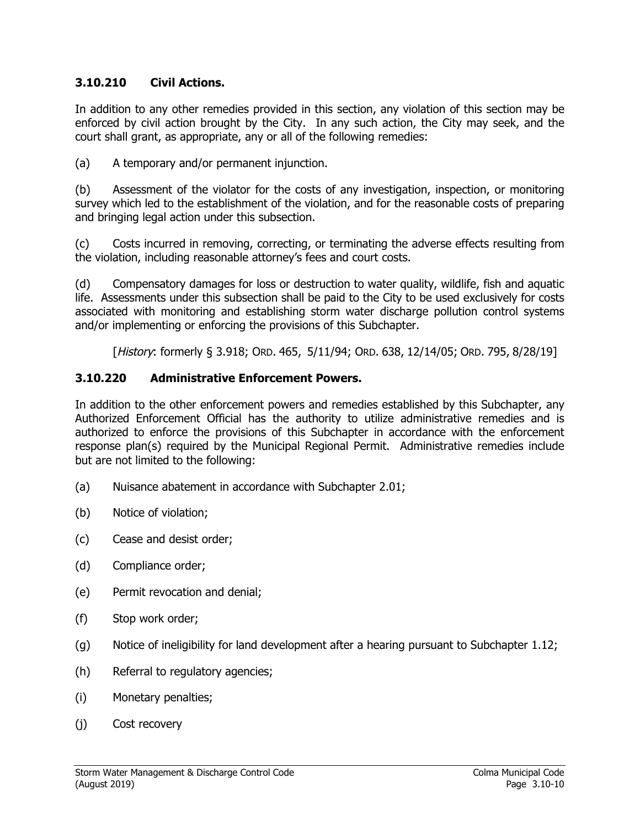### **3.10.210 Civil Actions.**

In addition to any other remedies provided in this section, any violation of this section may be enforced by civil action brought by the City. In any such action, the City may seek, and the court shall grant, as appropriate, any or all of the following remedies:

(a) A temporary and/or permanent injunction.

(b) Assessment of the violator for the costs of any investigation, inspection, or monitoring survey which led to the establishment of the violation, and for the reasonable costs of preparing and bringing legal action under this subsection.

(c) Costs incurred in removing, correcting, or terminating the adverse effects resulting from the violation, including reasonable attorney's fees and court costs.

(d) Compensatory damages for loss or destruction to water quality, wildlife, fish and aquatic life. Assessments under this subsection shall be paid to the City to be used exclusively for costs associated with monitoring and establishing storm water discharge pollution control systems and/or implementing or enforcing the provisions of this Subchapter.

[History: formerly § 3.918; ORD. 465, 5/11/94; ORD. 638, 12/14/05; ORD. 795, 8/28/19]

### **3.10.220 Administrative Enforcement Powers.**

In addition to the other enforcement powers and remedies established by this Subchapter, any Authorized Enforcement Official has the authority to utilize administrative remedies and is authorized to enforce the provisions of this Subchapter in accordance with the enforcement response plan(s) required by the Municipal Regional Permit. Administrative remedies include but are not limited to the following:

- (a) Nuisance abatement in accordance with Subchapter 2.01;
- (b) Notice of violation;
- (c) Cease and desist order;
- (d) Compliance order;
- (e) Permit revocation and denial;
- (f) Stop work order;
- (g) Notice of ineligibility for land development after a hearing pursuant to Subchapter 1.12;
- (h) Referral to regulatory agencies;
- (i) Monetary penalties;
- (j) Cost recovery